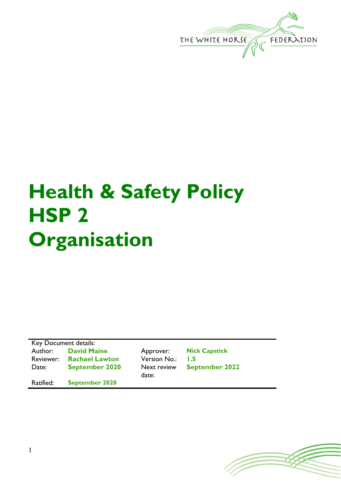

# **Health & Safety Policy HSP 2 Organisation**

| Key Document details: |                       |                      |                       |  |
|-----------------------|-----------------------|----------------------|-----------------------|--|
| Author:               | <b>David Maine</b>    | Approver:            | <b>Nick Capstick</b>  |  |
| Reviewer:             | <b>Rachael Lawton</b> | <b>Version No.:</b>  | 1.5                   |  |
| Date:                 | <b>September 2020</b> | Next review<br>date: | <b>September 2022</b> |  |
| Ratified:             | <b>September 2020</b> |                      |                       |  |

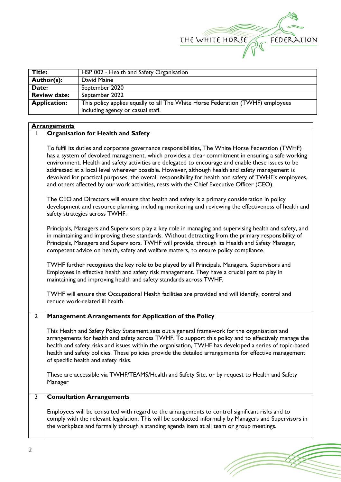

| Title:              | HSP 002 - Health and Safety Organisation                                       |  |
|---------------------|--------------------------------------------------------------------------------|--|
| Author(s):          | David Maine                                                                    |  |
| Date:               | September 2020                                                                 |  |
| <b>Review date:</b> | September 2022                                                                 |  |
| <b>Application:</b> | This policy applies equally to all The White Horse Federation (TWHF) employees |  |
|                     | including agency or casual staff.                                              |  |

#### **Arrangements**

### 1 **Organisation for Health and Safety**

To fulfil its duties and corporate governance responsibilities, The White Horse Federation (TWHF) has a system of devolved management, which provides a clear commitment in ensuring a safe working environment. Health and safety activities are delegated to encourage and enable these issues to be addressed at a local level wherever possible. However, although health and safety management is devolved for practical purposes, the overall responsibility for health and safety of TWHF's employees, and others affected by our work activities, rests with the Chief Executive Officer (CEO).

The CEO and Directors will ensure that health and safety is a primary consideration in policy development and resource planning, including monitoring and reviewing the effectiveness of health and safety strategies across TWHF.

Principals, Managers and Supervisors play a key role in managing and supervising health and safety, and in maintaining and improving these standards. Without detracting from the primary responsibility of Principals, Managers and Supervisors, TWHF will provide, through its Health and Safety Manager*,* competent advice on health, safety and welfare matters, to ensure policy compliance.

TWHF further recognises the key role to be played by all Principals, Managers, Supervisors and Employees in effective health and safety risk management. They have a crucial part to play in maintaining and improving health and safety standards across TWHF.

TWHF will ensure that Occupational Health facilities are provided and will identify, control and reduce work-related ill health.

#### 2 **Management Arrangements for Application of the Policy**

This Health and Safety Policy Statement sets out a general framework for the organisation and arrangements for health and safety across TWHF. To support this policy and to effectively manage the health and safety risks and issues within the organisation, TWHF has developed a series of topic-based health and safety policies. These policies provide the detailed arrangements for effective management of specific health and safety risks.

These are accessible via TWHF/TEAMS/Health and Safety Site, or by request to Health and Safety Manager

## 3 **Consultation Arrangements**

Employees will be consulted with regard to the arrangements to control significant risks and to comply with the relevant legislation. This will be conducted informally by Managers and Supervisors in the workplace and formally through a standing agenda item at all team or group meetings.

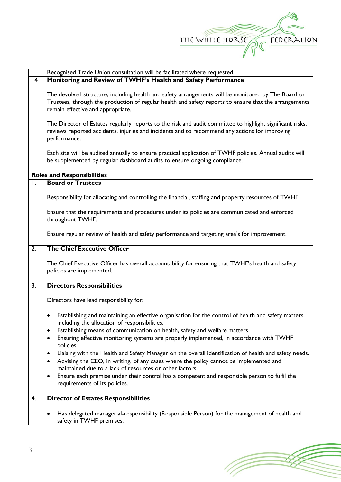

|                  | Recognised Trade Union consultation will be facilitated where requested.                                   |  |  |  |
|------------------|------------------------------------------------------------------------------------------------------------|--|--|--|
| $\overline{4}$   | Monitoring and Review of TWHF's Health and Safety Performance                                              |  |  |  |
|                  |                                                                                                            |  |  |  |
|                  | The devolved structure, including health and safety arrangements will be monitored by The Board or         |  |  |  |
|                  | Trustees, through the production of regular health and safety reports to ensure that the arrangements      |  |  |  |
|                  | remain effective and appropriate.                                                                          |  |  |  |
|                  |                                                                                                            |  |  |  |
|                  | The Director of Estates regularly reports to the risk and audit committee to highlight significant risks,  |  |  |  |
|                  | reviews reported accidents, injuries and incidents and to recommend any actions for improving              |  |  |  |
|                  | performance.                                                                                               |  |  |  |
|                  |                                                                                                            |  |  |  |
|                  | Each site will be audited annually to ensure practical application of TWHF policies. Annual audits will    |  |  |  |
|                  | be supplemented by regular dashboard audits to ensure ongoing compliance.                                  |  |  |  |
|                  |                                                                                                            |  |  |  |
|                  | <b>Roles and Responsibilities</b>                                                                          |  |  |  |
| I.               | <b>Board or Trustees</b>                                                                                   |  |  |  |
|                  |                                                                                                            |  |  |  |
|                  | Responsibility for allocating and controlling the financial, staffing and property resources of TWHF.      |  |  |  |
|                  |                                                                                                            |  |  |  |
|                  | Ensure that the requirements and procedures under its policies are communicated and enforced               |  |  |  |
|                  | throughout TWHF.                                                                                           |  |  |  |
|                  |                                                                                                            |  |  |  |
|                  | Ensure regular review of health and safety performance and targeting area's for improvement.               |  |  |  |
|                  |                                                                                                            |  |  |  |
| $\overline{2}$ . | <b>The Chief Executive Officer</b>                                                                         |  |  |  |
|                  |                                                                                                            |  |  |  |
|                  | The Chief Executive Officer has overall accountability for ensuring that TWHF's health and safety          |  |  |  |
|                  | policies are implemented.                                                                                  |  |  |  |
|                  |                                                                                                            |  |  |  |
| $\overline{3}$ . | <b>Directors Responsibilities</b>                                                                          |  |  |  |
|                  |                                                                                                            |  |  |  |
|                  | Directors have lead responsibility for:                                                                    |  |  |  |
|                  |                                                                                                            |  |  |  |
|                  | Establishing and maintaining an effective organisation for the control of health and safety matters,<br>٠  |  |  |  |
|                  | including the allocation of responsibilities.                                                              |  |  |  |
|                  | Establishing means of communication on health, safety and welfare matters.<br>$\bullet$                    |  |  |  |
|                  | Ensuring effective monitoring systems are properly implemented, in accordance with TWHF<br>$\bullet$       |  |  |  |
|                  | policies.                                                                                                  |  |  |  |
|                  | Liaising with the Health and Safety Manager on the overall identification of health and safety needs.<br>٠ |  |  |  |
|                  | Advising the CEO, in writing, of any cases where the policy cannot be implemented and<br>٠                 |  |  |  |
|                  | maintained due to a lack of resources or other factors.                                                    |  |  |  |
|                  | Ensure each premise under their control has a competent and responsible person to fulfil the<br>٠          |  |  |  |
|                  | requirements of its policies.                                                                              |  |  |  |
|                  |                                                                                                            |  |  |  |
| 4.               | <b>Director of Estates Responsibilities</b>                                                                |  |  |  |
|                  |                                                                                                            |  |  |  |
|                  | Has delegated managerial-responsibility (Responsible Person) for the management of health and<br>٠         |  |  |  |
|                  | safety in TWHF premises.                                                                                   |  |  |  |

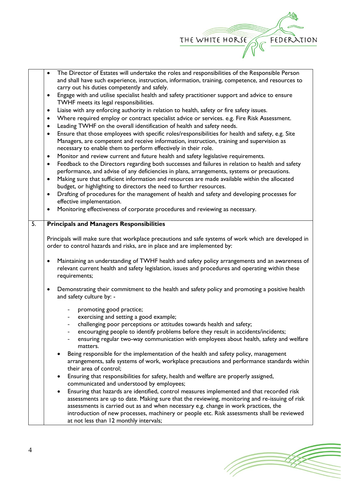

|                  | $\bullet$                                                                                                      | The Director of Estates will undertake the roles and responsibilities of the Responsible Person                                      |  |  |  |
|------------------|----------------------------------------------------------------------------------------------------------------|--------------------------------------------------------------------------------------------------------------------------------------|--|--|--|
|                  |                                                                                                                | and shall have such experience, instruction, information, training, competence, and resources to                                     |  |  |  |
|                  | carry out his duties competently and safely.                                                                   |                                                                                                                                      |  |  |  |
|                  | Engage with and utilise specialist health and safety practitioner support and advice to ensure                 |                                                                                                                                      |  |  |  |
|                  | TWHF meets its legal responsibilities.                                                                         |                                                                                                                                      |  |  |  |
|                  | Liaise with any enforcing authority in relation to health, safety or fire safety issues.<br>$\bullet$          |                                                                                                                                      |  |  |  |
|                  | Where required employ or contract specialist advice or services. e.g. Fire Risk Assessment.<br>٠               |                                                                                                                                      |  |  |  |
|                  | Leading TWHF on the overall identification of health and safety needs.<br>$\bullet$                            |                                                                                                                                      |  |  |  |
|                  | Ensure that those employees with specific roles/responsibilities for health and safety, e.g. Site<br>$\bullet$ |                                                                                                                                      |  |  |  |
|                  |                                                                                                                | Managers, are competent and receive information, instruction, training and supervision as                                            |  |  |  |
|                  | necessary to enable them to perform effectively in their role.                                                 |                                                                                                                                      |  |  |  |
|                  | $\bullet$                                                                                                      | Monitor and review current and future health and safety legislative requirements.                                                    |  |  |  |
|                  | Feedback to the Directors regarding both successes and failures in relation to health and safety<br>$\bullet$  |                                                                                                                                      |  |  |  |
|                  | performance, and advise of any deficiencies in plans, arrangements, systems or precautions.                    |                                                                                                                                      |  |  |  |
|                  | Making sure that sufficient information and resources are made available within the allocated<br>$\bullet$     |                                                                                                                                      |  |  |  |
|                  | budget, or highlighting to directors the need to further resources.                                            |                                                                                                                                      |  |  |  |
|                  | $\bullet$                                                                                                      | Drafting of procedures for the management of health and safety and developing processes for                                          |  |  |  |
|                  |                                                                                                                | effective implementation.                                                                                                            |  |  |  |
|                  |                                                                                                                | Monitoring effectiveness of corporate procedures and reviewing as necessary.                                                         |  |  |  |
|                  |                                                                                                                |                                                                                                                                      |  |  |  |
| $\overline{5}$ . |                                                                                                                | <b>Principals and Managers Responsibilities</b>                                                                                      |  |  |  |
|                  |                                                                                                                |                                                                                                                                      |  |  |  |
|                  |                                                                                                                | Principals will make sure that workplace precautions and safe systems of work which are developed in                                 |  |  |  |
|                  |                                                                                                                | order to control hazards and risks, are in place and are implemented by:                                                             |  |  |  |
|                  |                                                                                                                |                                                                                                                                      |  |  |  |
|                  |                                                                                                                |                                                                                                                                      |  |  |  |
|                  |                                                                                                                | Maintaining an understanding of TWHF health and safety policy arrangements and an awareness of                                       |  |  |  |
|                  |                                                                                                                | relevant current health and safety legislation, issues and procedures and operating within these                                     |  |  |  |
|                  |                                                                                                                | requirements;                                                                                                                        |  |  |  |
|                  | ٠                                                                                                              |                                                                                                                                      |  |  |  |
|                  |                                                                                                                | Demonstrating their commitment to the health and safety policy and promoting a positive health                                       |  |  |  |
|                  |                                                                                                                | and safety culture by: -                                                                                                             |  |  |  |
|                  |                                                                                                                | promoting good practice;                                                                                                             |  |  |  |
|                  |                                                                                                                | exercising and setting a good example;                                                                                               |  |  |  |
|                  |                                                                                                                | challenging poor perceptions or attitudes towards health and safety;                                                                 |  |  |  |
|                  |                                                                                                                | encouraging people to identify problems before they result in accidents/incidents;                                                   |  |  |  |
|                  |                                                                                                                | ensuring regular two-way communication with employees about health, safety and welfare                                               |  |  |  |
|                  |                                                                                                                | matters.                                                                                                                             |  |  |  |
|                  |                                                                                                                | Being responsible for the implementation of the health and safety policy, management                                                 |  |  |  |
|                  |                                                                                                                | arrangements, safe systems of work, workplace precautions and performance standards within                                           |  |  |  |
|                  |                                                                                                                | their area of control;                                                                                                               |  |  |  |
|                  | $\bullet$                                                                                                      | Ensuring that responsibilities for safety, health and welfare are properly assigned,                                                 |  |  |  |
|                  |                                                                                                                | communicated and understood by employees;                                                                                            |  |  |  |
|                  | ٠                                                                                                              | Ensuring that hazards are identified, control measures implemented and that recorded risk                                            |  |  |  |
|                  |                                                                                                                | assessments are up to date. Making sure that the reviewing, monitoring and re-issuing of risk                                        |  |  |  |
|                  |                                                                                                                | assessments is carried out as and when necessary e.g. change in work practices, the                                                  |  |  |  |
|                  |                                                                                                                | introduction of new processes, machinery or people etc. Risk assessments shall be reviewed<br>at not less than 12 monthly intervals; |  |  |  |

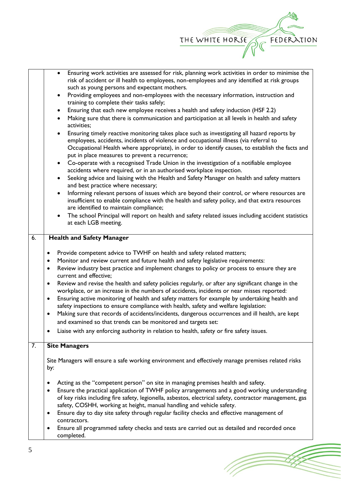

TT.

| Ensuring work activities are assessed for risk, planning work activities in order to minimise the<br>risk of accident or ill health to employees, non-employees and any identified at risk groups<br>such as young persons and expectant mothers.<br>Providing employees and non-employees with the necessary information, instruction and<br>$\bullet$ |                                                                                                                                                                                                                                                                                                                                                        |  |  |  |  |
|---------------------------------------------------------------------------------------------------------------------------------------------------------------------------------------------------------------------------------------------------------------------------------------------------------------------------------------------------------|--------------------------------------------------------------------------------------------------------------------------------------------------------------------------------------------------------------------------------------------------------------------------------------------------------------------------------------------------------|--|--|--|--|
|                                                                                                                                                                                                                                                                                                                                                         | training to complete their tasks safely;                                                                                                                                                                                                                                                                                                               |  |  |  |  |
|                                                                                                                                                                                                                                                                                                                                                         | Ensuring that each new employee receives a health and safety induction (HSF 2.2)<br>$\bullet$                                                                                                                                                                                                                                                          |  |  |  |  |
|                                                                                                                                                                                                                                                                                                                                                         | Making sure that there is communication and participation at all levels in health and safety<br>$\bullet$<br>activities;                                                                                                                                                                                                                               |  |  |  |  |
|                                                                                                                                                                                                                                                                                                                                                         | Ensuring timely reactive monitoring takes place such as investigating all hazard reports by<br>$\bullet$<br>employees, accidents, incidents of violence and occupational illness (via referral to<br>Occupational Health where appropriate), in order to identify causes, to establish the facts and<br>put in place measures to prevent a recurrence; |  |  |  |  |
|                                                                                                                                                                                                                                                                                                                                                         | Co-operate with a recognised Trade Union in the investigation of a notifiable employee<br>$\bullet$<br>accidents where required, or in an authorised workplace inspection.                                                                                                                                                                             |  |  |  |  |
|                                                                                                                                                                                                                                                                                                                                                         | Seeking advice and liaising with the Health and Safety Manager on health and safety matters<br>$\bullet$<br>and best practice where necessary;                                                                                                                                                                                                         |  |  |  |  |
| Informing relevant persons of issues which are beyond their control, or where resources are<br>$\bullet$<br>insufficient to enable compliance with the health and safety policy, and that extra resources<br>are identified to maintain compliance;                                                                                                     |                                                                                                                                                                                                                                                                                                                                                        |  |  |  |  |
|                                                                                                                                                                                                                                                                                                                                                         | The school Principal will report on health and safety related issues including accident statistics<br>$\bullet$<br>at each LGB meeting.                                                                                                                                                                                                                |  |  |  |  |
| $\overline{6}$ .                                                                                                                                                                                                                                                                                                                                        | <b>Health and Safety Manager</b>                                                                                                                                                                                                                                                                                                                       |  |  |  |  |
|                                                                                                                                                                                                                                                                                                                                                         |                                                                                                                                                                                                                                                                                                                                                        |  |  |  |  |
|                                                                                                                                                                                                                                                                                                                                                         | Provide competent advice to TWHF on health and safety related matters;<br>٠                                                                                                                                                                                                                                                                            |  |  |  |  |
|                                                                                                                                                                                                                                                                                                                                                         | Monitor and review current and future health and safety legislative requirements:<br>٠                                                                                                                                                                                                                                                                 |  |  |  |  |
|                                                                                                                                                                                                                                                                                                                                                         | Review industry best practice and implement changes to policy or process to ensure they are<br>$\bullet$<br>current and effective;                                                                                                                                                                                                                     |  |  |  |  |
|                                                                                                                                                                                                                                                                                                                                                         | Review and revise the health and safety policies regularly, or after any significant change in the<br>٠<br>workplace, or an increase in the numbers of accidents, incidents or near misses reported:                                                                                                                                                   |  |  |  |  |
|                                                                                                                                                                                                                                                                                                                                                         | Ensuring active monitoring of health and safety matters for example by undertaking health and<br>$\bullet$<br>safety inspections to ensure compliance with health, safety and welfare legislation:                                                                                                                                                     |  |  |  |  |
|                                                                                                                                                                                                                                                                                                                                                         | Making sure that records of accidents/incidents, dangerous occurrences and ill health, are kept<br>$\bullet$                                                                                                                                                                                                                                           |  |  |  |  |
|                                                                                                                                                                                                                                                                                                                                                         | and examined so that trends can be monitored and targets set:                                                                                                                                                                                                                                                                                          |  |  |  |  |
|                                                                                                                                                                                                                                                                                                                                                         | Liaise with any enforcing authority in relation to health, safety or fire safety issues.                                                                                                                                                                                                                                                               |  |  |  |  |
| $\overline{7}$ .                                                                                                                                                                                                                                                                                                                                        | <b>Site Managers</b>                                                                                                                                                                                                                                                                                                                                   |  |  |  |  |
|                                                                                                                                                                                                                                                                                                                                                         | Site Managers will ensure a safe working environment and effectively manage premises related risks                                                                                                                                                                                                                                                     |  |  |  |  |
|                                                                                                                                                                                                                                                                                                                                                         | by:                                                                                                                                                                                                                                                                                                                                                    |  |  |  |  |
|                                                                                                                                                                                                                                                                                                                                                         |                                                                                                                                                                                                                                                                                                                                                        |  |  |  |  |
|                                                                                                                                                                                                                                                                                                                                                         | Acting as the "competent person" on site in managing premises health and safety.                                                                                                                                                                                                                                                                       |  |  |  |  |
|                                                                                                                                                                                                                                                                                                                                                         | Ensure the practical application of TWHF policy arrangements and a good working understanding<br>of key risks including fire safety, legionella, asbestos, electrical safety, contractor management, gas                                                                                                                                               |  |  |  |  |
|                                                                                                                                                                                                                                                                                                                                                         | safety, COSHH, working at height, manual handling and vehicle safety.<br>Ensure day to day site safety through regular facility checks and effective management of                                                                                                                                                                                     |  |  |  |  |
|                                                                                                                                                                                                                                                                                                                                                         | contractors.                                                                                                                                                                                                                                                                                                                                           |  |  |  |  |
|                                                                                                                                                                                                                                                                                                                                                         | Ensure all programmed safety checks and tests are carried out as detailed and recorded once<br>completed.                                                                                                                                                                                                                                              |  |  |  |  |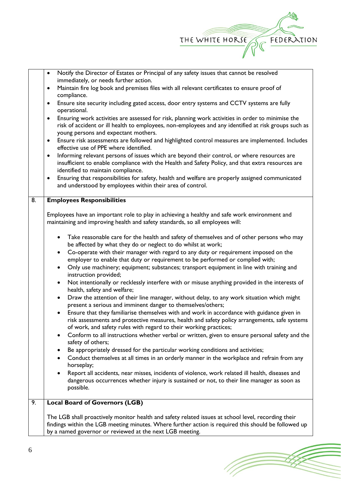

(Topon

|    | Notify the Director of Estates or Principal of any safety issues that cannot be resolved<br>$\bullet$                                                                  |  |  |  |
|----|------------------------------------------------------------------------------------------------------------------------------------------------------------------------|--|--|--|
|    | immediately, or needs further action.                                                                                                                                  |  |  |  |
|    | Maintain fire log book and premises files with all relevant certificates to ensure proof of<br>$\bullet$                                                               |  |  |  |
|    | compliance.                                                                                                                                                            |  |  |  |
|    | Ensure site security including gated access, door entry systems and CCTV systems are fully<br>٠<br>operational.                                                        |  |  |  |
|    | Ensuring work activities are assessed for risk, planning work activities in order to minimise the<br>$\bullet$                                                         |  |  |  |
|    | risk of accident or ill health to employees, non-employees and any identified at risk groups such as                                                                   |  |  |  |
|    | young persons and expectant mothers.                                                                                                                                   |  |  |  |
|    | Ensure risk assessments are followed and highlighted control measures are implemented. Includes<br>$\bullet$<br>effective use of PPE where identified.                 |  |  |  |
|    | Informing relevant persons of issues which are beyond their control, or where resources are<br>$\bullet$                                                               |  |  |  |
|    | insufficient to enable compliance with the Health and Safety Policy, and that extra resources are                                                                      |  |  |  |
|    | identified to maintain compliance.                                                                                                                                     |  |  |  |
|    | Ensuring that responsibilities for safety, health and welfare are properly assigned communicated<br>٠                                                                  |  |  |  |
|    | and understood by employees within their area of control.                                                                                                              |  |  |  |
| 8. | <b>Employees Responsibilities</b>                                                                                                                                      |  |  |  |
|    |                                                                                                                                                                        |  |  |  |
|    | Employees have an important role to play in achieving a healthy and safe work environment and                                                                          |  |  |  |
|    | maintaining and improving health and safety standards, so all employees will:                                                                                          |  |  |  |
|    |                                                                                                                                                                        |  |  |  |
|    | Take reasonable care for the health and safety of themselves and of other persons who may<br>$\bullet$                                                                 |  |  |  |
|    | be affected by what they do or neglect to do whilst at work;                                                                                                           |  |  |  |
|    | Co-operate with their manager with regard to any duty or requirement imposed on the<br>$\bullet$                                                                       |  |  |  |
|    | employer to enable that duty or requirement to be performed or complied with;                                                                                          |  |  |  |
|    | Only use machinery; equipment; substances; transport equipment in line with training and<br>$\bullet$<br>instruction provided;                                         |  |  |  |
|    | Not intentionally or recklessly interfere with or misuse anything provided in the interests of<br>$\bullet$<br>health, safety and welfare;                             |  |  |  |
|    | Draw the attention of their line manager, without delay, to any work situation which might<br>$\bullet$<br>present a serious and imminent danger to themselves/others; |  |  |  |
|    | Ensure that they familiarise themselves with and work in accordance with guidance given in                                                                             |  |  |  |
|    | risk assessments and protective measures, health and safety policy arrangements, safe systems                                                                          |  |  |  |
|    | of work, and safety rules with regard to their working practices;                                                                                                      |  |  |  |
|    | Conform to all instructions whether verbal or written, given to ensure personal safety and the<br>safety of others;                                                    |  |  |  |
|    | Be appropriately dressed for the particular working conditions and activities;                                                                                         |  |  |  |
|    | Conduct themselves at all times in an orderly manner in the workplace and refrain from any<br>$\bullet$<br>horseplay;                                                  |  |  |  |
|    | Report all accidents, near misses, incidents of violence, work related ill health, diseases and                                                                        |  |  |  |
|    | dangerous occurrences whether injury is sustained or not, to their line manager as soon as                                                                             |  |  |  |
|    | possible.                                                                                                                                                              |  |  |  |
| 9. | <b>Local Board of Governors (LGB)</b>                                                                                                                                  |  |  |  |
|    |                                                                                                                                                                        |  |  |  |
|    | The LGB shall proactively monitor health and safety related issues at school level, recording their                                                                    |  |  |  |
|    | findings within the LGB meeting minutes. Where further action is required this should be followed up                                                                   |  |  |  |
|    | by a named governor or reviewed at the next LGB meeting.                                                                                                               |  |  |  |